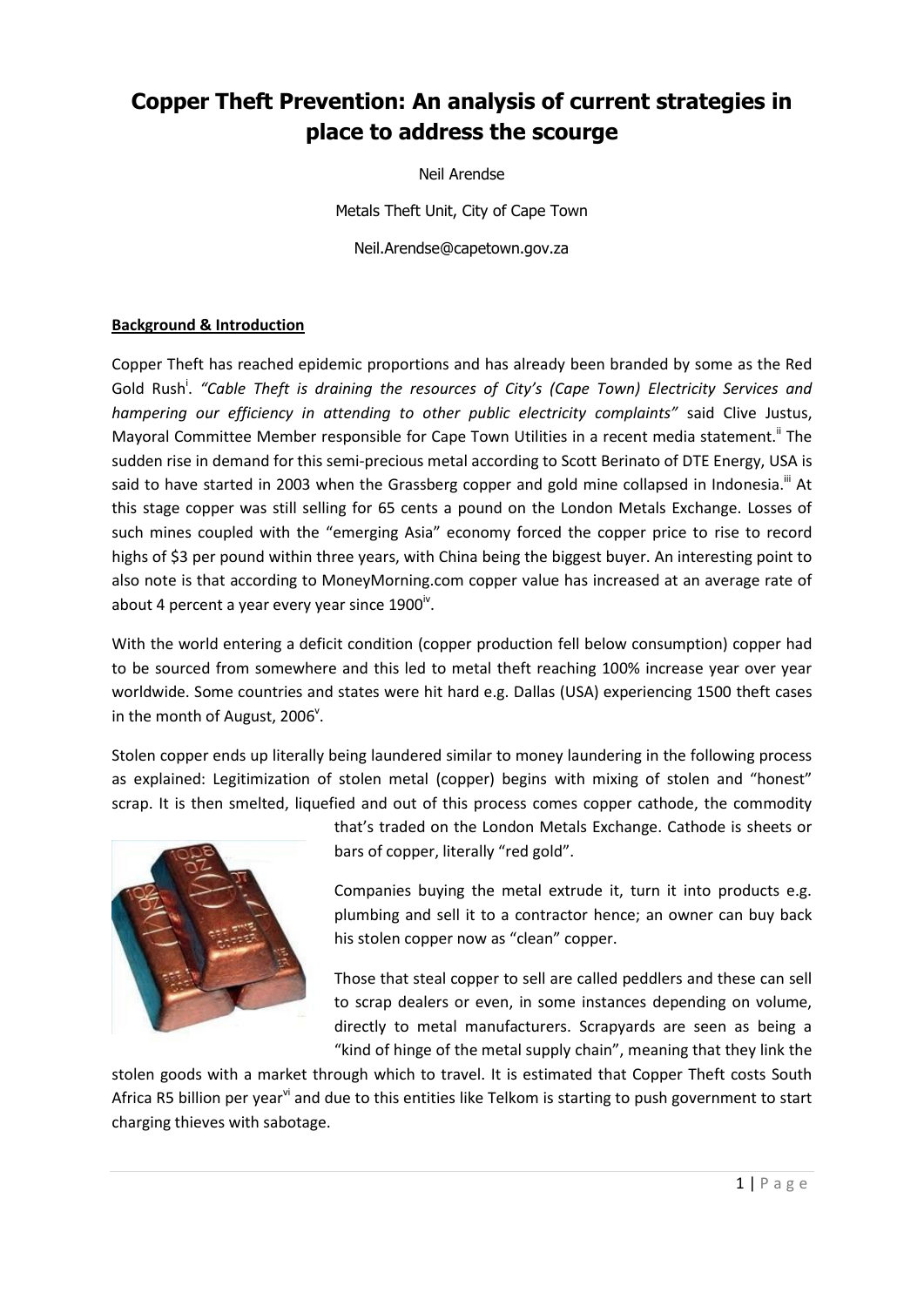# **Copper Theft Prevention: An analysis of current strategies in place to address the scourge**

Neil Arendse

Metals Theft Unit, City of Cape Town

Neil.Arendse@capetown.gov.za

## **Background & Introduction**

Copper Theft has reached epidemic proportions and has already been branded by some as the Red Gold Rush<sup>i</sup>. "Cable Theft is draining the resources of City's (Cape Town) Electricity Services and *hampering our efficiency in attending to other public electricity complaints"* said Clive Justus, Mayoral Committee Member responsible for Cape Town Utilities in a recent media statement.<sup>ii</sup> The sudden rise in demand for this semi-precious metal according to Scott Berinato of DTE Energy, USA is said to have started in 2003 when the Grassberg copper and gold mine collapsed in Indonesia.<sup>iii</sup> At this stage copper was still selling for 65 cents a pound on the London Metals Exchange. Losses of such mines coupled with the "emerging Asia" economy forced the copper price to rise to record highs of \$3 per pound within three years, with China being the biggest buyer. An interesting point to also note is that according to MoneyMorning.com copper value has increased at an average rate of about 4 percent a year every year since  $1900^{\text{iv}}$ .

With the world entering a deficit condition (copper production fell below consumption) copper had to be sourced from somewhere and this led to metal theft reaching 100% increase year over year worldwide. Some countries and states were hit hard e.g. Dallas (USA) experiencing 1500 theft cases in the month of August, 2006<sup>v</sup>.

Stolen copper ends up literally being laundered similar to money laundering in the following process as explained: Legitimization of stolen metal (copper) begins with mixing of stolen and "honest" scrap. It is then smelted, liquefied and out of this process comes copper cathode, the commodity



that's traded on the London Metals Exchange. Cathode is sheets or bars of copper, literally "red gold".

Companies buying the metal extrude it, turn it into products e.g. plumbing and sell it to a contractor hence; an owner can buy back his stolen copper now as "clean" copper.

Those that steal copper to sell are called peddlers and these can sell to scrap dealers or even, in some instances depending on volume, directly to metal manufacturers. Scrapyards are seen as being a "kind of hinge of the metal supply chain", meaning that they link the

stolen goods with a market through which to travel. It is estimated that Copper Theft costs South Africa R5 billion per year<sup>vi</sup> and due to this entities like Telkom is starting to push government to start charging thieves with sabotage.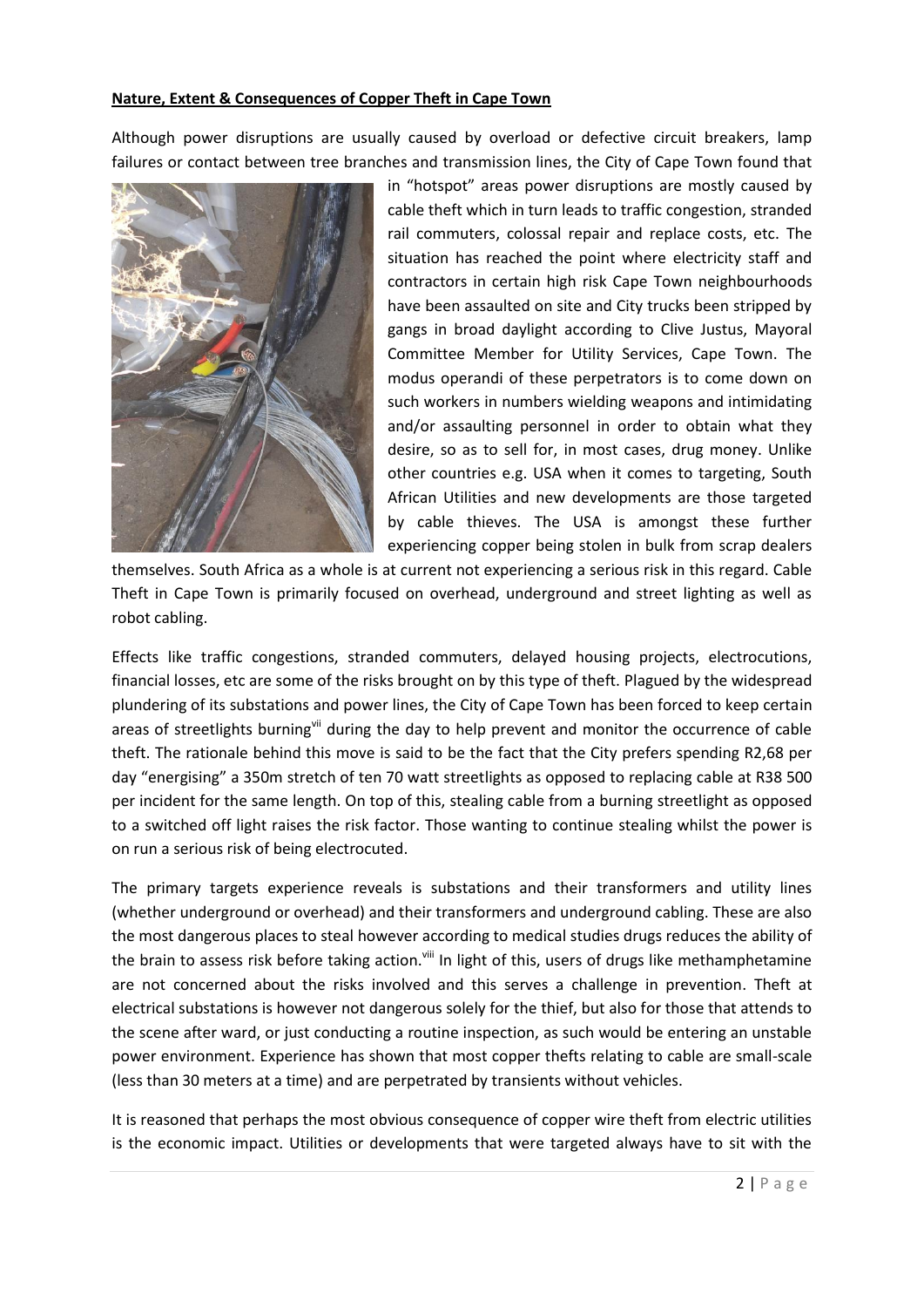#### **Nature, Extent & Consequences of Copper Theft in Cape Town**

Although power disruptions are usually caused by overload or defective circuit breakers, lamp failures or contact between tree branches and transmission lines, the City of Cape Town found that



in "hotspot" areas power disruptions are mostly caused by cable theft which in turn leads to traffic congestion, stranded rail commuters, colossal repair and replace costs, etc. The situation has reached the point where electricity staff and contractors in certain high risk Cape Town neighbourhoods have been assaulted on site and City trucks been stripped by gangs in broad daylight according to Clive Justus, Mayoral Committee Member for Utility Services, Cape Town. The modus operandi of these perpetrators is to come down on such workers in numbers wielding weapons and intimidating and/or assaulting personnel in order to obtain what they desire, so as to sell for, in most cases, drug money. Unlike other countries e.g. USA when it comes to targeting, South African Utilities and new developments are those targeted by cable thieves. The USA is amongst these further experiencing copper being stolen in bulk from scrap dealers

themselves. South Africa as a whole is at current not experiencing a serious risk in this regard. Cable Theft in Cape Town is primarily focused on overhead, underground and street lighting as well as robot cabling.

Effects like traffic congestions, stranded commuters, delayed housing projects, electrocutions, financial losses, etc are some of the risks brought on by this type of theft. Plagued by the widespread plundering of its substations and power lines, the City of Cape Town has been forced to keep certain areas of streetlights burning<sup>vii</sup> during the day to help prevent and monitor the occurrence of cable theft. The rationale behind this move is said to be the fact that the City prefers spending R2,68 per day "energising" a 350m stretch of ten 70 watt streetlights as opposed to replacing cable at R38 500 per incident for the same length. On top of this, stealing cable from a burning streetlight as opposed to a switched off light raises the risk factor. Those wanting to continue stealing whilst the power is on run a serious risk of being electrocuted.

The primary targets experience reveals is substations and their transformers and utility lines (whether underground or overhead) and their transformers and underground cabling. These are also the most dangerous places to steal however according to medical studies drugs reduces the ability of the brain to assess risk before taking action.<sup>viii</sup> In light of this, users of drugs like methamphetamine are not concerned about the risks involved and this serves a challenge in prevention. Theft at electrical substations is however not dangerous solely for the thief, but also for those that attends to the scene after ward, or just conducting a routine inspection, as such would be entering an unstable power environment. Experience has shown that most copper thefts relating to cable are small-scale (less than 30 meters at a time) and are perpetrated by transients without vehicles.

It is reasoned that perhaps the most obvious consequence of copper wire theft from electric utilities is the economic impact. Utilities or developments that were targeted always have to sit with the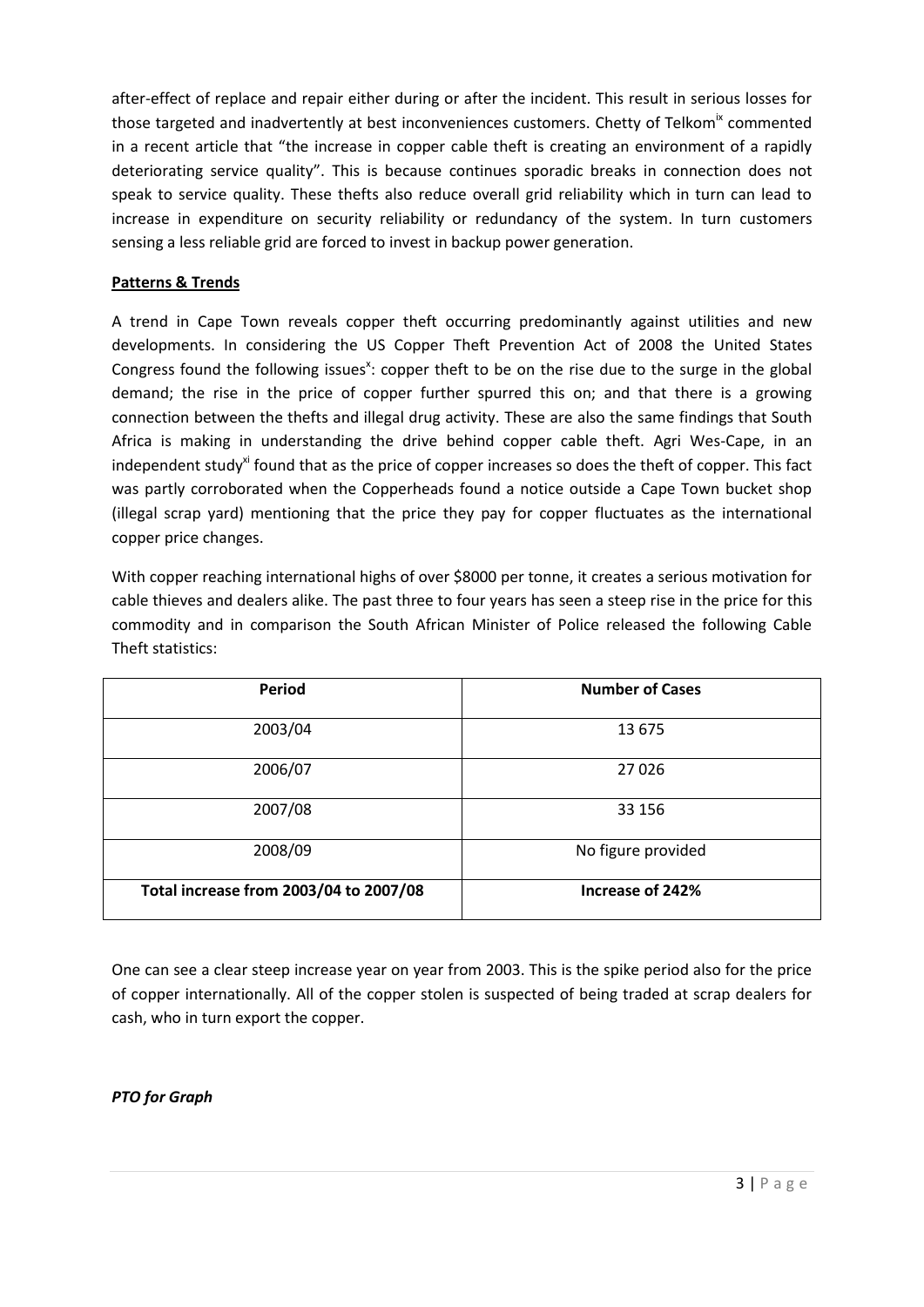after-effect of replace and repair either during or after the incident. This result in serious losses for those targeted and inadvertently at best inconveniences customers. Chetty of Telkom $\mathrm{K}_{\alpha}$  commented in a recent article that "the increase in copper cable theft is creating an environment of a rapidly deteriorating service quality". This is because continues sporadic breaks in connection does not speak to service quality. These thefts also reduce overall grid reliability which in turn can lead to increase in expenditure on security reliability or redundancy of the system. In turn customers sensing a less reliable grid are forced to invest in backup power generation.

# **Patterns & Trends**

A trend in Cape Town reveals copper theft occurring predominantly against utilities and new developments. In considering the US Copper Theft Prevention Act of 2008 the United States Congress found the following issues<sup>x</sup>: copper theft to be on the rise due to the surge in the global demand; the rise in the price of copper further spurred this on; and that there is a growing connection between the thefts and illegal drug activity. These are also the same findings that South Africa is making in understanding the drive behind copper cable theft. Agri Wes-Cape, in an independent study<sup>xi</sup> found that as the price of copper increases so does the theft of copper. This fact was partly corroborated when the Copperheads found a notice outside a Cape Town bucket shop (illegal scrap yard) mentioning that the price they pay for copper fluctuates as the international copper price changes.

With copper reaching international highs of over \$8000 per tonne, it creates a serious motivation for cable thieves and dealers alike. The past three to four years has seen a steep rise in the price for this commodity and in comparison the South African Minister of Police released the following Cable Theft statistics:

| Period                                 | <b>Number of Cases</b> |
|----------------------------------------|------------------------|
| 2003/04                                | 13 675                 |
| 2006/07                                | 27 0 26                |
| 2007/08                                | 33 156                 |
| 2008/09                                | No figure provided     |
| Total increase from 2003/04 to 2007/08 | Increase of 242%       |

One can see a clear steep increase year on year from 2003. This is the spike period also for the price of copper internationally. All of the copper stolen is suspected of being traded at scrap dealers for cash, who in turn export the copper.

# *PTO for Graph*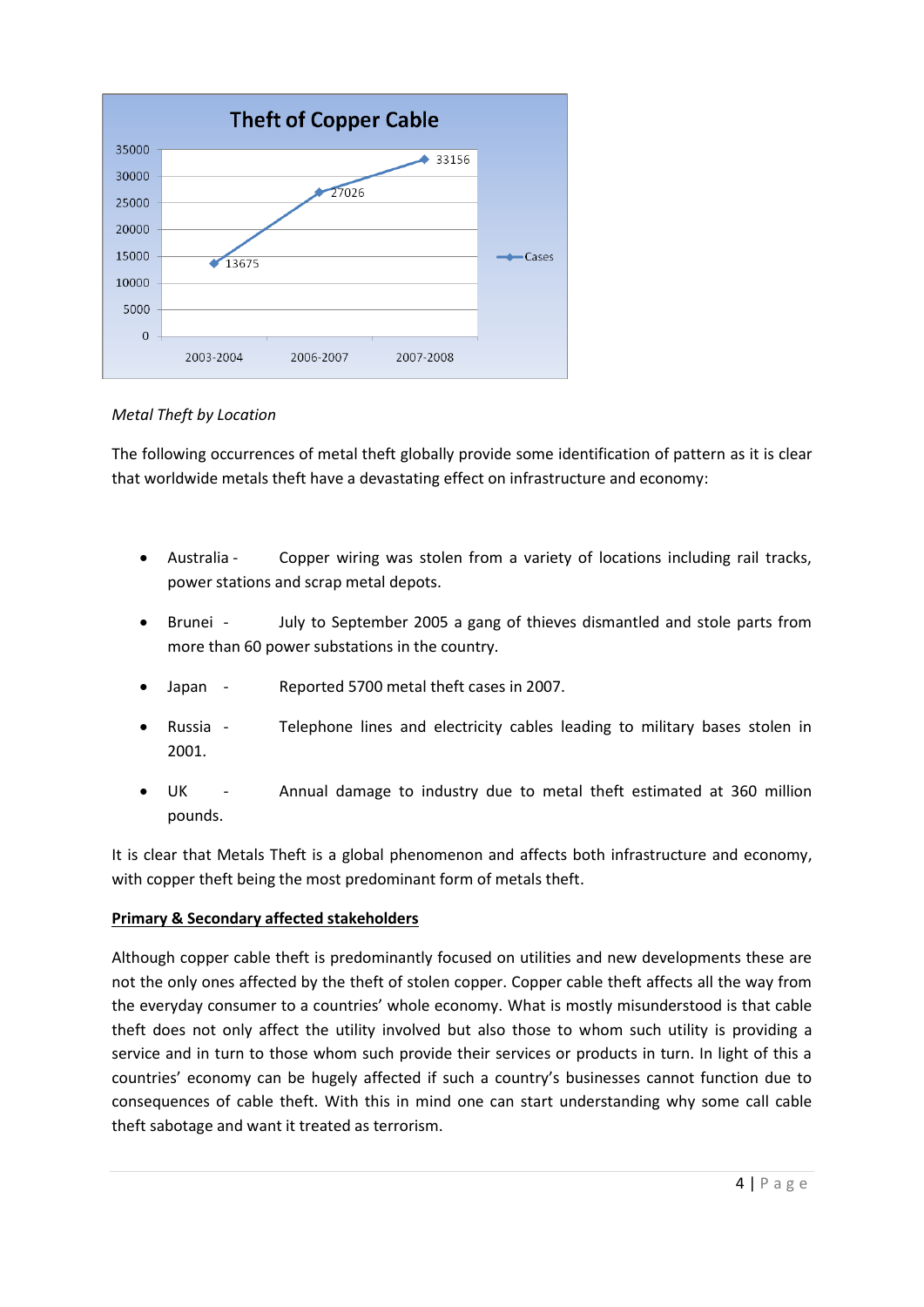

# *Metal Theft by Location*

The following occurrences of metal theft globally provide some identification of pattern as it is clear that worldwide metals theft have a devastating effect on infrastructure and economy:

- Australia Copper wiring was stolen from a variety of locations including rail tracks, power stations and scrap metal depots.
- Brunei July to September 2005 a gang of thieves dismantled and stole parts from more than 60 power substations in the country.
- Japan Reported 5700 metal theft cases in 2007.
- Russia Telephone lines and electricity cables leading to military bases stolen in 2001.
- UK Annual damage to industry due to metal theft estimated at 360 million pounds.

It is clear that Metals Theft is a global phenomenon and affects both infrastructure and economy, with copper theft being the most predominant form of metals theft.

# **Primary & Secondary affected stakeholders**

Although copper cable theft is predominantly focused on utilities and new developments these are not the only ones affected by the theft of stolen copper. Copper cable theft affects all the way from the everyday consumer to a countries' whole economy. What is mostly misunderstood is that cable theft does not only affect the utility involved but also those to whom such utility is providing a service and in turn to those whom such provide their services or products in turn. In light of this a countries' economy can be hugely affected if such a country's businesses cannot function due to consequences of cable theft. With this in mind one can start understanding why some call cable theft sabotage and want it treated as terrorism.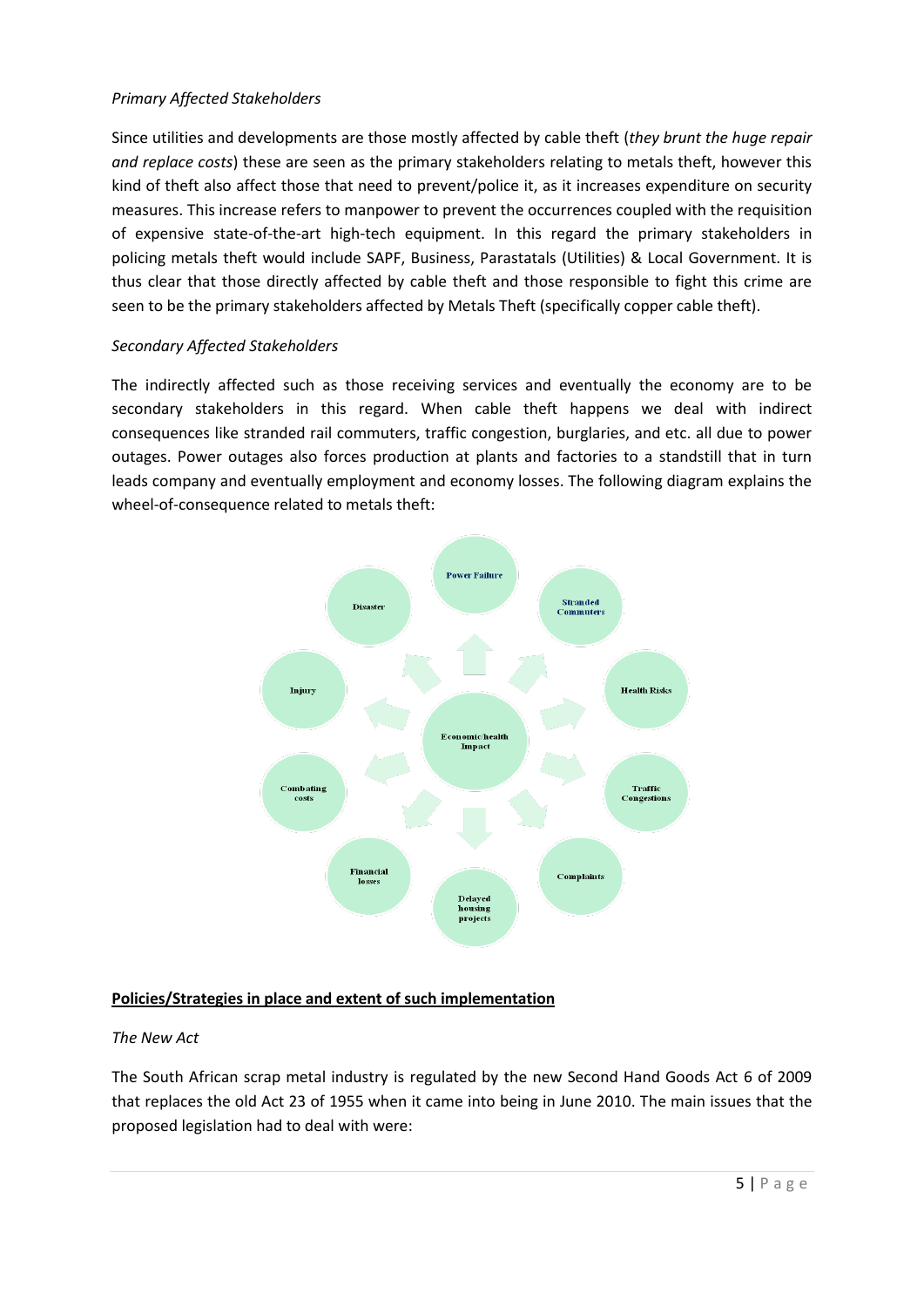# *Primary Affected Stakeholders*

Since utilities and developments are those mostly affected by cable theft (*they brunt the huge repair and replace costs*) these are seen as the primary stakeholders relating to metals theft, however this kind of theft also affect those that need to prevent/police it, as it increases expenditure on security measures. This increase refers to manpower to prevent the occurrences coupled with the requisition of expensive state-of-the-art high-tech equipment. In this regard the primary stakeholders in policing metals theft would include SAPF, Business, Parastatals (Utilities) & Local Government. It is thus clear that those directly affected by cable theft and those responsible to fight this crime are seen to be the primary stakeholders affected by Metals Theft (specifically copper cable theft).

# *Secondary Affected Stakeholders*

The indirectly affected such as those receiving services and eventually the economy are to be secondary stakeholders in this regard. When cable theft happens we deal with indirect consequences like stranded rail commuters, traffic congestion, burglaries, and etc. all due to power outages. Power outages also forces production at plants and factories to a standstill that in turn leads company and eventually employment and economy losses. The following diagram explains the wheel-of-consequence related to metals theft:



# **Policies/Strategies in place and extent of such implementation**

# *The New Act*

The South African scrap metal industry is regulated by the new Second Hand Goods Act 6 of 2009 that replaces the old Act 23 of 1955 when it came into being in June 2010. The main issues that the proposed legislation had to deal with were: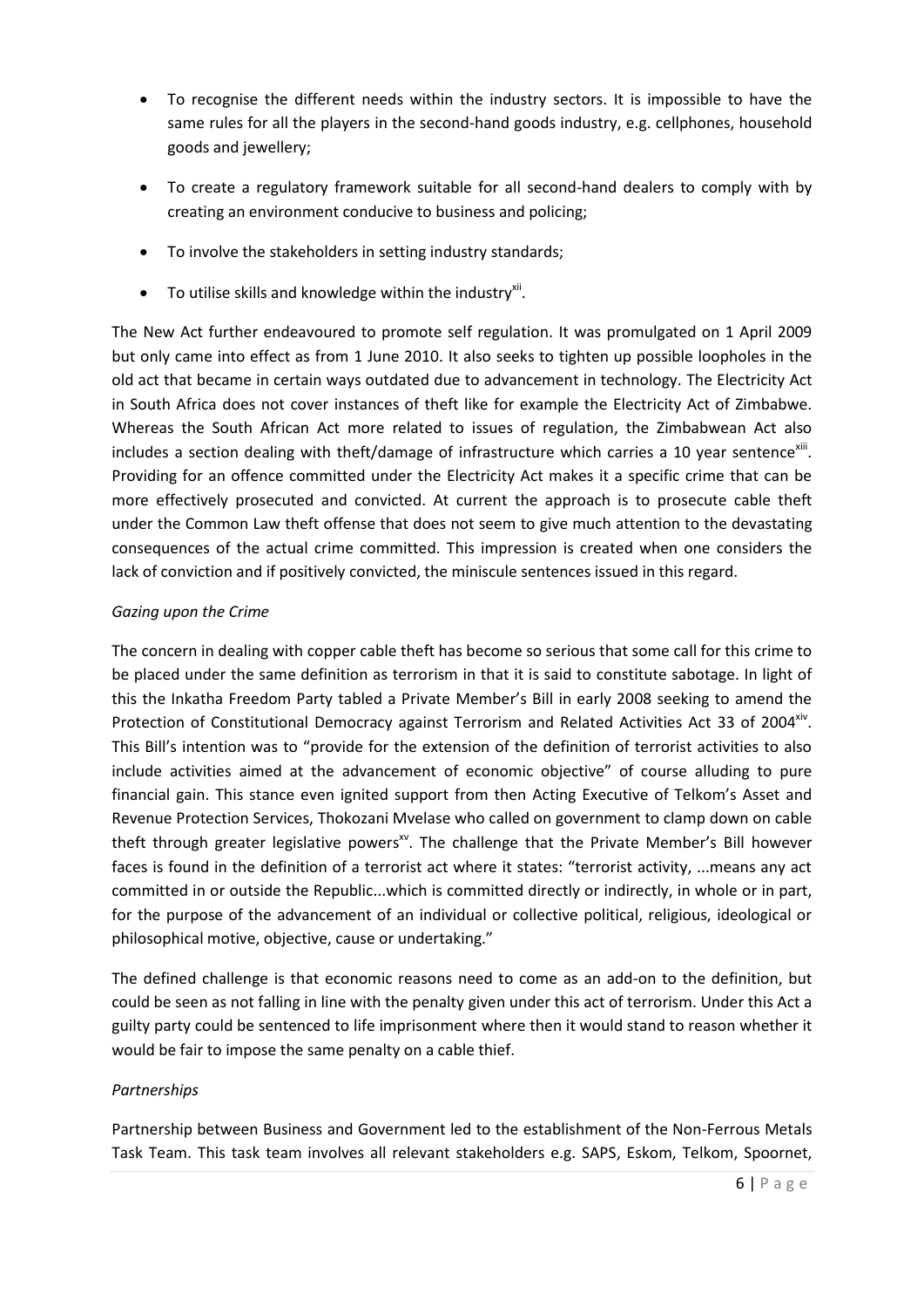- To recognise the different needs within the industry sectors. It is impossible to have the same rules for all the players in the second-hand goods industry, e.g. cellphones, household goods and jewellery;
- To create a regulatory framework suitable for all second-hand dealers to comply with by creating an environment conducive to business and policing;
- To involve the stakeholders in setting industry standards;
- $\bullet$  To utilise skills and knowledge within the industry<sup>xii</sup>.

The New Act further endeavoured to promote self regulation. It was promulgated on 1 April 2009 but only came into effect as from 1 June 2010. It also seeks to tighten up possible loopholes in the old act that became in certain ways outdated due to advancement in technology. The Electricity Act in South Africa does not cover instances of theft like for example the Electricity Act of Zimbabwe. Whereas the South African Act more related to issues of regulation, the Zimbabwean Act also includes a section dealing with theft/damage of infrastructure which carries a 10 year sentence<sup>xiii</sup>. Providing for an offence committed under the Electricity Act makes it a specific crime that can be more effectively prosecuted and convicted. At current the approach is to prosecute cable theft under the Common Law theft offense that does not seem to give much attention to the devastating consequences of the actual crime committed. This impression is created when one considers the lack of conviction and if positively convicted, the miniscule sentences issued in this regard.

# *Gazing upon the Crime*

The concern in dealing with copper cable theft has become so serious that some call for this crime to be placed under the same definition as terrorism in that it is said to constitute sabotage. In light of this the Inkatha Freedom Party tabled a Private Member's Bill in early 2008 seeking to amend the Protection of Constitutional Democracy against Terrorism and Related Activities Act 33 of 2004<sup>xiv</sup>. This Bill's intention was to "provide for the extension of the definition of terrorist activities to also include activities aimed at the advancement of economic objective" of course alluding to pure financial gain. This stance even ignited support from then Acting Executive of Telkom's Asset and Revenue Protection Services, Thokozani Mvelase who called on government to clamp down on cable theft through greater legislative powers<sup>xv</sup>. The challenge that the Private Member's Bill however faces is found in the definition of a terrorist act where it states: "terrorist activity, ...means any act committed in or outside the Republic...which is committed directly or indirectly, in whole or in part, for the purpose of the advancement of an individual or collective political, religious, ideological or philosophical motive, objective, cause or undertaking."

The defined challenge is that economic reasons need to come as an add-on to the definition, but could be seen as not falling in line with the penalty given under this act of terrorism. Under this Act a guilty party could be sentenced to life imprisonment where then it would stand to reason whether it would be fair to impose the same penalty on a cable thief.

# *Partnerships*

Partnership between Business and Government led to the establishment of the Non-Ferrous Metals Task Team. This task team involves all relevant stakeholders e.g. SAPS, Eskom, Telkom, Spoornet,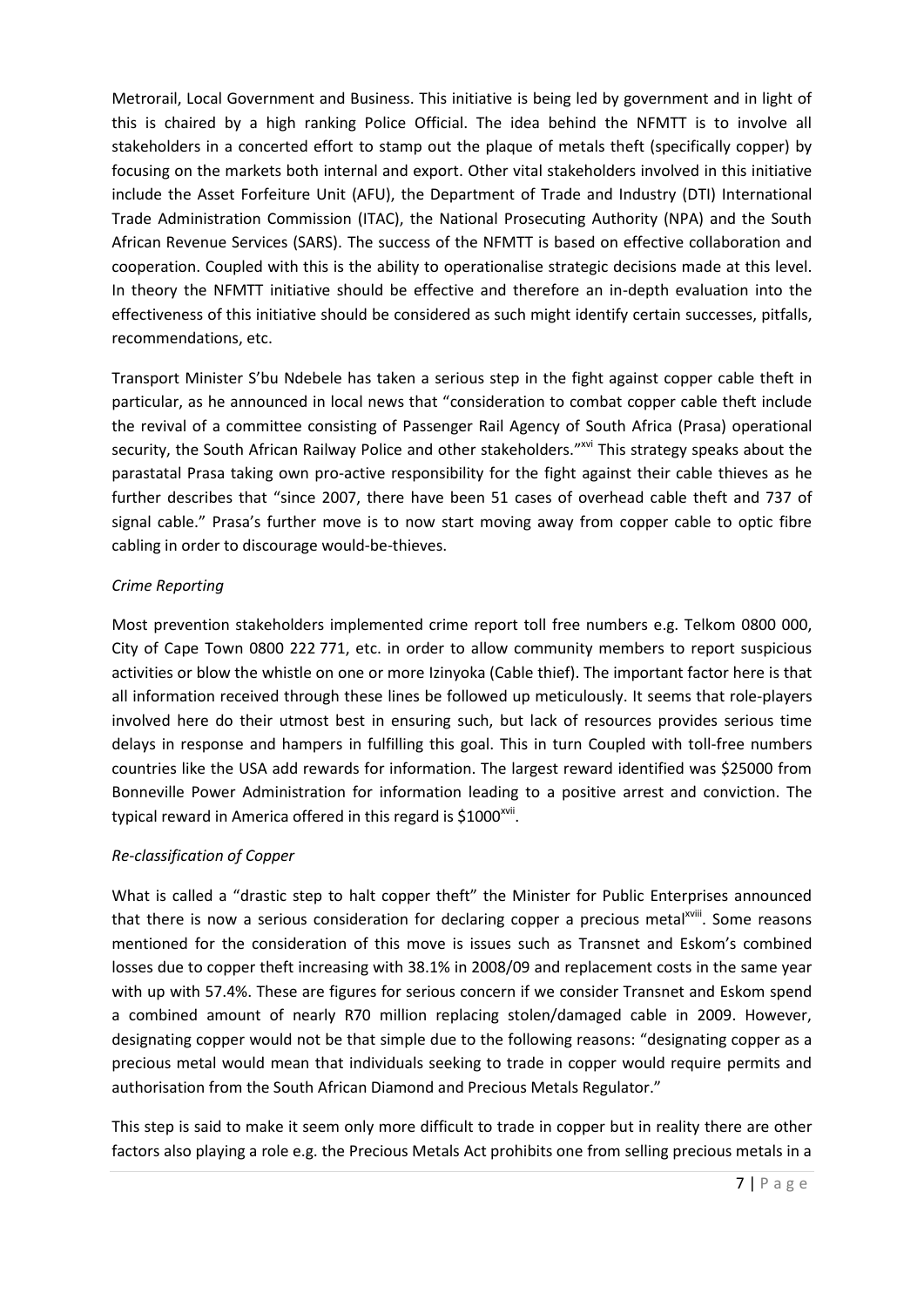Metrorail, Local Government and Business. This initiative is being led by government and in light of this is chaired by a high ranking Police Official. The idea behind the NFMTT is to involve all stakeholders in a concerted effort to stamp out the plaque of metals theft (specifically copper) by focusing on the markets both internal and export. Other vital stakeholders involved in this initiative include the Asset Forfeiture Unit (AFU), the Department of Trade and Industry (DTI) International Trade Administration Commission (ITAC), the National Prosecuting Authority (NPA) and the South African Revenue Services (SARS). The success of the NFMTT is based on effective collaboration and cooperation. Coupled with this is the ability to operationalise strategic decisions made at this level. In theory the NFMTT initiative should be effective and therefore an in-depth evaluation into the effectiveness of this initiative should be considered as such might identify certain successes, pitfalls, recommendations, etc.

Transport Minister S'bu Ndebele has taken a serious step in the fight against copper cable theft in particular, as he announced in local news that "consideration to combat copper cable theft include the revival of a committee consisting of Passenger Rail Agency of South Africa (Prasa) operational security, the South African Railway Police and other stakeholders."<sup>xvi</sup> This strategy speaks about the parastatal Prasa taking own pro-active responsibility for the fight against their cable thieves as he further describes that "since 2007, there have been 51 cases of overhead cable theft and 737 of signal cable." Prasa's further move is to now start moving away from copper cable to optic fibre cabling in order to discourage would-be-thieves.

# *Crime Reporting*

Most prevention stakeholders implemented crime report toll free numbers e.g. Telkom 0800 000, City of Cape Town 0800 222 771, etc. in order to allow community members to report suspicious activities or blow the whistle on one or more Izinyoka (Cable thief). The important factor here is that all information received through these lines be followed up meticulously. It seems that role-players involved here do their utmost best in ensuring such, but lack of resources provides serious time delays in response and hampers in fulfilling this goal. This in turn Coupled with toll-free numbers countries like the USA add rewards for information. The largest reward identified was \$25000 from Bonneville Power Administration for information leading to a positive arrest and conviction. The typical reward in America offered in this regard is \$1000 $^{xvi}$ .

# *Re-classification of Copper*

What is called a "drastic step to halt copper theft" the Minister for Public Enterprises announced that there is now a serious consideration for declaring copper a precious metal<sup>xviii</sup>. Some reasons mentioned for the consideration of this move is issues such as Transnet and Eskom's combined losses due to copper theft increasing with 38.1% in 2008/09 and replacement costs in the same year with up with 57.4%. These are figures for serious concern if we consider Transnet and Eskom spend a combined amount of nearly R70 million replacing stolen/damaged cable in 2009. However, designating copper would not be that simple due to the following reasons: "designating copper as a precious metal would mean that individuals seeking to trade in copper would require permits and authorisation from the South African Diamond and Precious Metals Regulator."

This step is said to make it seem only more difficult to trade in copper but in reality there are other factors also playing a role e.g. the Precious Metals Act prohibits one from selling precious metals in a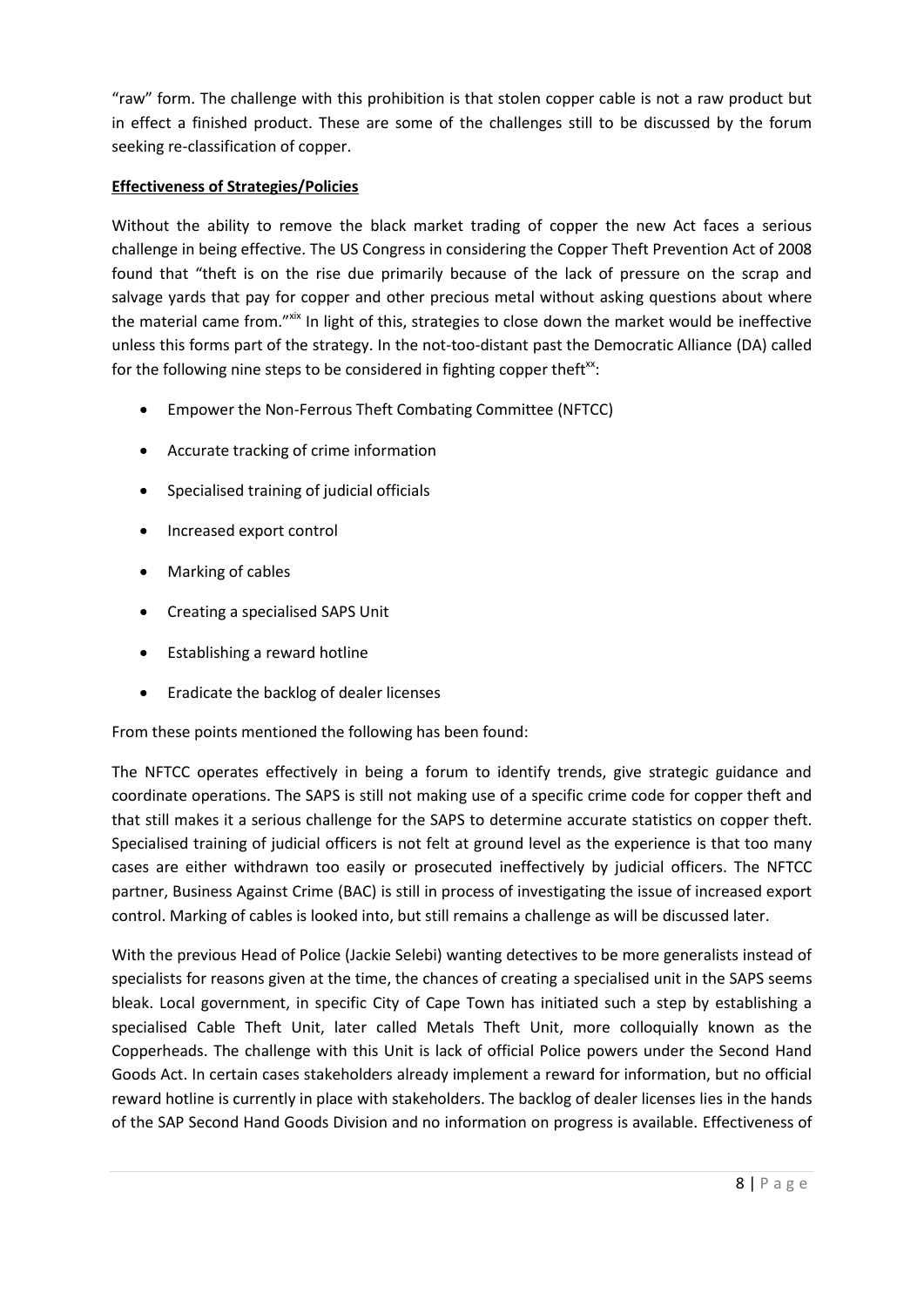"raw" form. The challenge with this prohibition is that stolen copper cable is not a raw product but in effect a finished product. These are some of the challenges still to be discussed by the forum seeking re-classification of copper.

# **Effectiveness of Strategies/Policies**

Without the ability to remove the black market trading of copper the new Act faces a serious challenge in being effective. The US Congress in considering the Copper Theft Prevention Act of 2008 found that "theft is on the rise due primarily because of the lack of pressure on the scrap and salvage yards that pay for copper and other precious metal without asking questions about where the material came from." Xix In light of this, strategies to close down the market would be ineffective unless this forms part of the strategy. In the not-too-distant past the Democratic Alliance (DA) called for the following nine steps to be considered in fighting copper theft $x$ :

- Empower the Non-Ferrous Theft Combating Committee (NFTCC)
- Accurate tracking of crime information
- Specialised training of judicial officials
- Increased export control
- Marking of cables
- Creating a specialised SAPS Unit
- Establishing a reward hotline
- Eradicate the backlog of dealer licenses

From these points mentioned the following has been found:

The NFTCC operates effectively in being a forum to identify trends, give strategic guidance and coordinate operations. The SAPS is still not making use of a specific crime code for copper theft and that still makes it a serious challenge for the SAPS to determine accurate statistics on copper theft. Specialised training of judicial officers is not felt at ground level as the experience is that too many cases are either withdrawn too easily or prosecuted ineffectively by judicial officers. The NFTCC partner, Business Against Crime (BAC) is still in process of investigating the issue of increased export control. Marking of cables is looked into, but still remains a challenge as will be discussed later.

With the previous Head of Police (Jackie Selebi) wanting detectives to be more generalists instead of specialists for reasons given at the time, the chances of creating a specialised unit in the SAPS seems bleak. Local government, in specific City of Cape Town has initiated such a step by establishing a specialised Cable Theft Unit, later called Metals Theft Unit, more colloquially known as the Copperheads. The challenge with this Unit is lack of official Police powers under the Second Hand Goods Act. In certain cases stakeholders already implement a reward for information, but no official reward hotline is currently in place with stakeholders. The backlog of dealer licenses lies in the hands of the SAP Second Hand Goods Division and no information on progress is available. Effectiveness of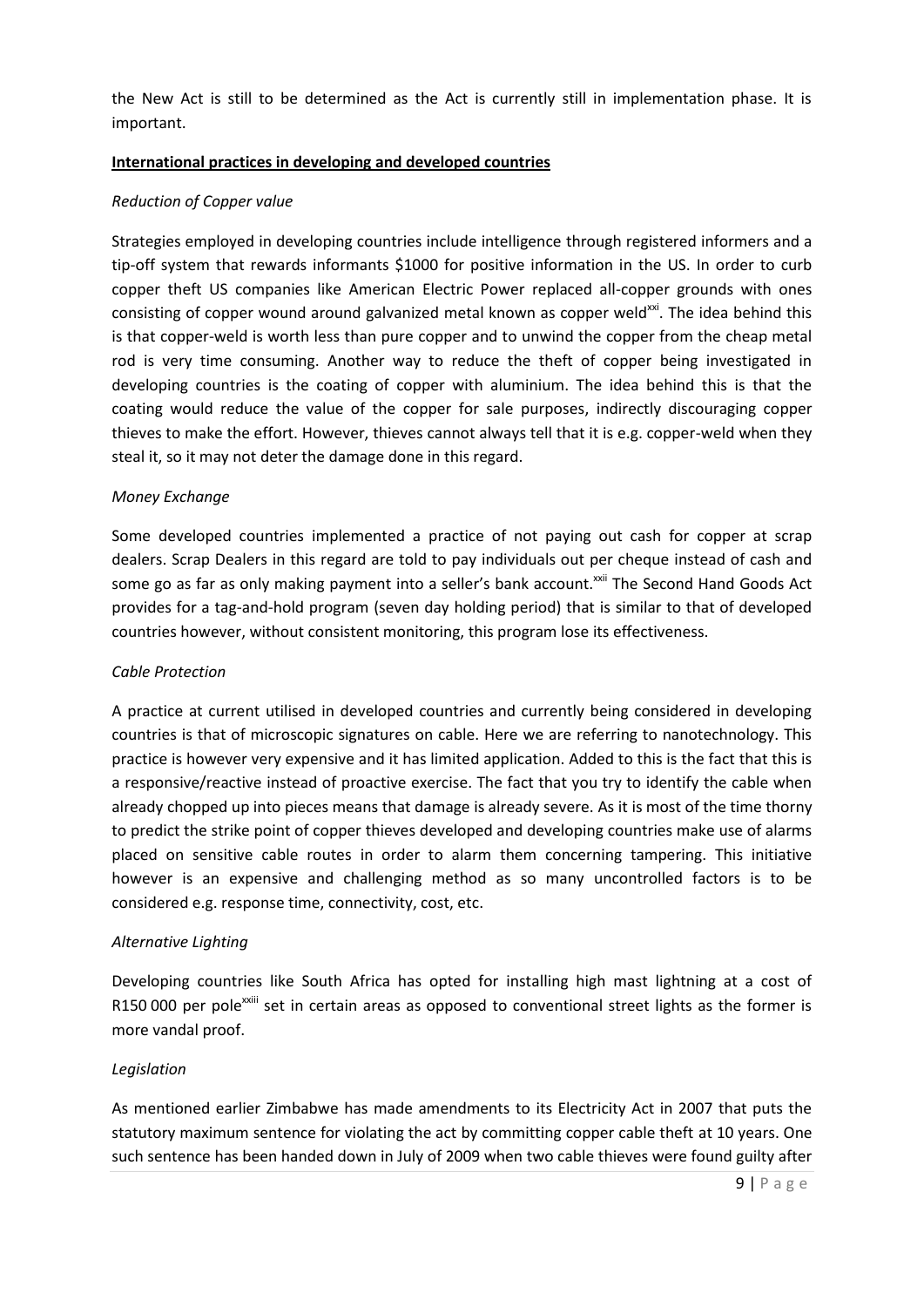the New Act is still to be determined as the Act is currently still in implementation phase. It is important.

#### **International practices in developing and developed countries**

#### *Reduction of Copper value*

Strategies employed in developing countries include intelligence through registered informers and a tip-off system that rewards informants \$1000 for positive information in the US. In order to curb copper theft US companies like American Electric Power replaced all-copper grounds with ones consisting of copper wound around galvanized metal known as copper weld<sup>xxi</sup>. The idea behind this is that copper-weld is worth less than pure copper and to unwind the copper from the cheap metal rod is very time consuming. Another way to reduce the theft of copper being investigated in developing countries is the coating of copper with aluminium. The idea behind this is that the coating would reduce the value of the copper for sale purposes, indirectly discouraging copper thieves to make the effort. However, thieves cannot always tell that it is e.g. copper-weld when they steal it, so it may not deter the damage done in this regard.

#### *Money Exchange*

Some developed countries implemented a practice of not paying out cash for copper at scrap dealers. Scrap Dealers in this regard are told to pay individuals out per cheque instead of cash and some go as far as only making payment into a seller's bank account.<sup>xxii</sup> The Second Hand Goods Act provides for a tag-and-hold program (seven day holding period) that is similar to that of developed countries however, without consistent monitoring, this program lose its effectiveness.

#### *Cable Protection*

A practice at current utilised in developed countries and currently being considered in developing countries is that of microscopic signatures on cable. Here we are referring to nanotechnology. This practice is however very expensive and it has limited application. Added to this is the fact that this is a responsive/reactive instead of proactive exercise. The fact that you try to identify the cable when already chopped up into pieces means that damage is already severe. As it is most of the time thorny to predict the strike point of copper thieves developed and developing countries make use of alarms placed on sensitive cable routes in order to alarm them concerning tampering. This initiative however is an expensive and challenging method as so many uncontrolled factors is to be considered e.g. response time, connectivity, cost, etc.

#### *Alternative Lighting*

Developing countries like South Africa has opted for installing high mast lightning at a cost of R150 000 per pole<sup>xxiii</sup> set in certain areas as opposed to conventional street lights as the former is more vandal proof.

#### *Legislation*

As mentioned earlier Zimbabwe has made amendments to its Electricity Act in 2007 that puts the statutory maximum sentence for violating the act by committing copper cable theft at 10 years. One such sentence has been handed down in July of 2009 when two cable thieves were found guilty after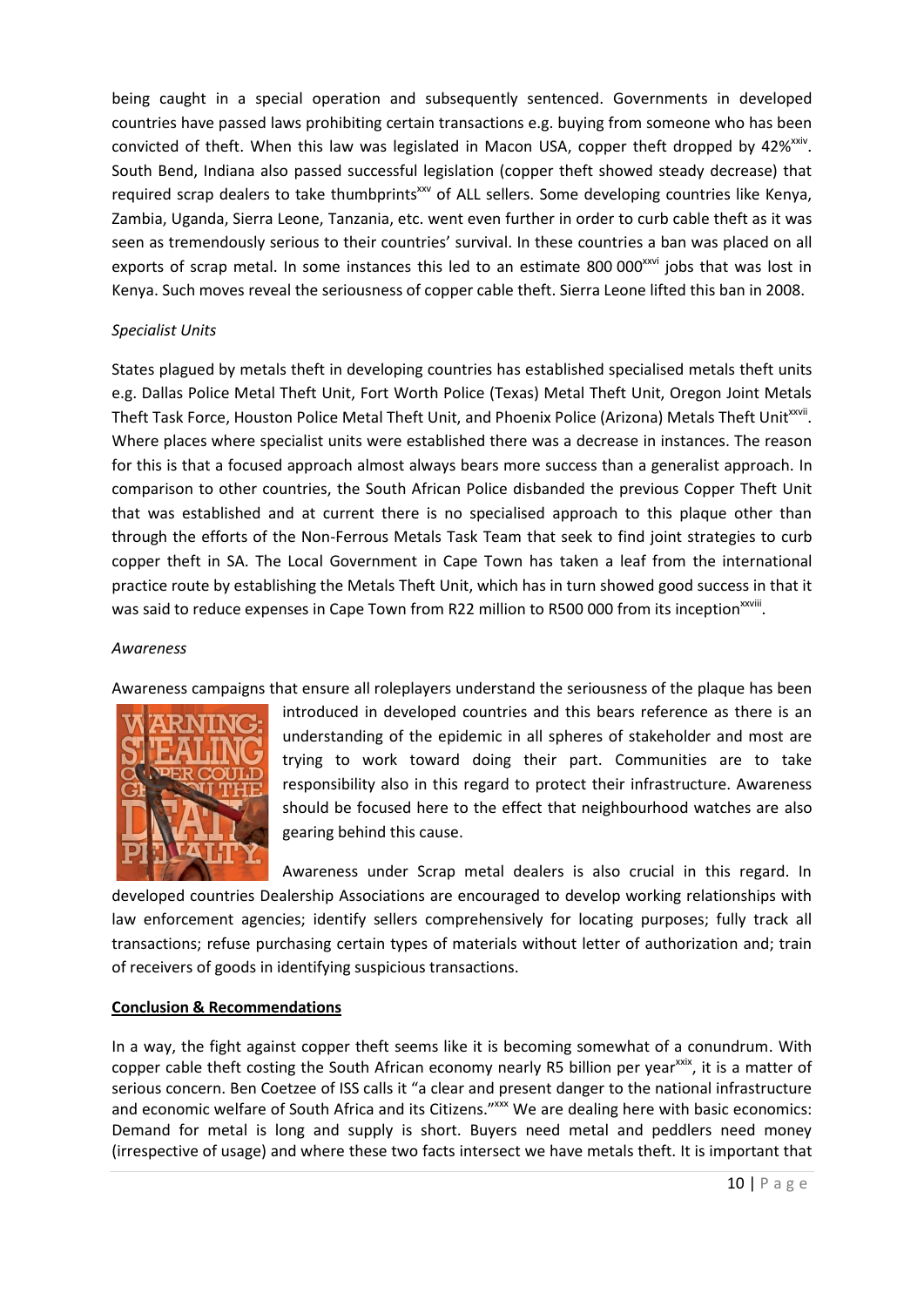being caught in a special operation and subsequently sentenced. Governments in developed countries have passed laws prohibiting certain transactions e.g. buying from someone who has been convicted of theft. When this law was legislated in Macon USA, copper theft dropped by 42%<sup>xxiv</sup>. South Bend, Indiana also passed successful legislation (copper theft showed steady decrease) that required scrap dealers to take thumbprints<sup>xxv</sup> of ALL sellers. Some developing countries like Kenya, Zambia, Uganda, Sierra Leone, Tanzania, etc. went even further in order to curb cable theft as it was seen as tremendously serious to their countries' survival. In these countries a ban was placed on all exports of scrap metal. In some instances this led to an estimate 800 000<sup>xxvi</sup> jobs that was lost in Kenya. Such moves reveal the seriousness of copper cable theft. Sierra Leone lifted this ban in 2008.

## *Specialist Units*

States plagued by metals theft in developing countries has established specialised metals theft units e.g. Dallas Police Metal Theft Unit, Fort Worth Police (Texas) Metal Theft Unit, Oregon Joint Metals Theft Task Force, Houston Police Metal Theft Unit, and Phoenix Police (Arizona) Metals Theft Unit<sup>xxvii</sup>. Where places where specialist units were established there was a decrease in instances. The reason for this is that a focused approach almost always bears more success than a generalist approach. In comparison to other countries, the South African Police disbanded the previous Copper Theft Unit that was established and at current there is no specialised approach to this plaque other than through the efforts of the Non-Ferrous Metals Task Team that seek to find joint strategies to curb copper theft in SA. The Local Government in Cape Town has taken a leaf from the international practice route by establishing the Metals Theft Unit, which has in turn showed good success in that it was said to reduce expenses in Cape Town from R22 million to R500 000 from its inception<sup>xxviii</sup>.

#### *Awareness*

Awareness campaigns that ensure all roleplayers understand the seriousness of the plaque has been



introduced in developed countries and this bears reference as there is an understanding of the epidemic in all spheres of stakeholder and most are trying to work toward doing their part. Communities are to take responsibility also in this regard to protect their infrastructure. Awareness should be focused here to the effect that neighbourhood watches are also gearing behind this cause.

Awareness under Scrap metal dealers is also crucial in this regard. In developed countries Dealership Associations are encouraged to develop working relationships with law enforcement agencies; identify sellers comprehensively for locating purposes; fully track all transactions; refuse purchasing certain types of materials without letter of authorization and; train of receivers of goods in identifying suspicious transactions.

#### **Conclusion & Recommendations**

In a way, the fight against copper theft seems like it is becoming somewhat of a conundrum. With copper cable theft costing the South African economy nearly R5 billion per year<sup>xxix</sup>, it is a matter of serious concern. Ben Coetzee of ISS calls it "a clear and present danger to the national infrastructure and economic welfare of South Africa and its Citizens."<sup>xxx</sup> We are dealing here with basic economics: Demand for metal is long and supply is short. Buyers need metal and peddlers need money (irrespective of usage) and where these two facts intersect we have metals theft. It is important that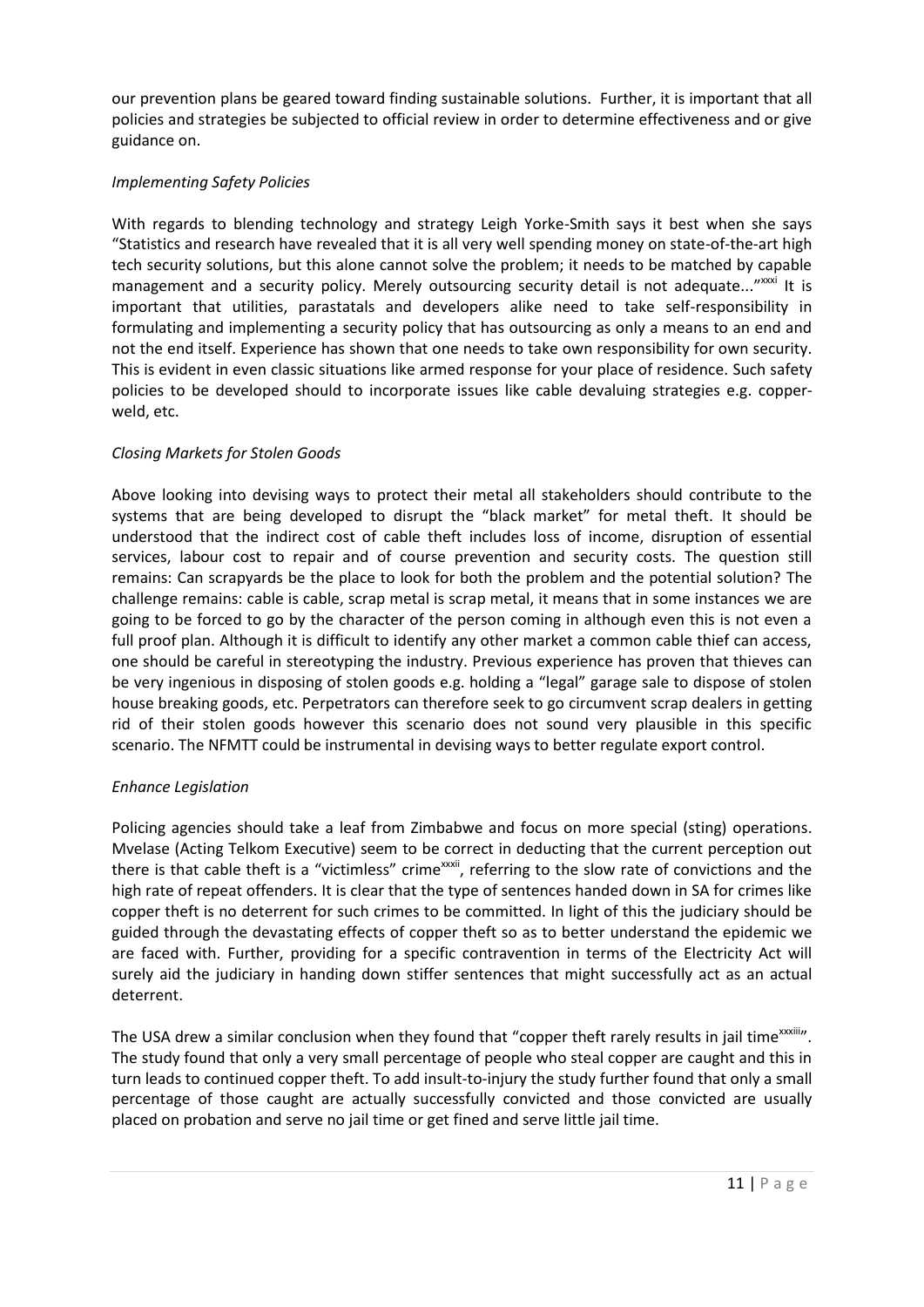our prevention plans be geared toward finding sustainable solutions. Further, it is important that all policies and strategies be subjected to official review in order to determine effectiveness and or give guidance on.

# *Implementing Safety Policies*

With regards to blending technology and strategy Leigh Yorke-Smith says it best when she says "Statistics and research have revealed that it is all very well spending money on state-of-the-art high tech security solutions, but this alone cannot solve the problem; it needs to be matched by capable management and a security policy. Merely outsourcing security detail is not adequate..."xxxi It is important that utilities, parastatals and developers alike need to take self-responsibility in formulating and implementing a security policy that has outsourcing as only a means to an end and not the end itself. Experience has shown that one needs to take own responsibility for own security. This is evident in even classic situations like armed response for your place of residence. Such safety policies to be developed should to incorporate issues like cable devaluing strategies e.g. copperweld, etc.

# *Closing Markets for Stolen Goods*

Above looking into devising ways to protect their metal all stakeholders should contribute to the systems that are being developed to disrupt the "black market" for metal theft. It should be understood that the indirect cost of cable theft includes loss of income, disruption of essential services, labour cost to repair and of course prevention and security costs. The question still remains: Can scrapyards be the place to look for both the problem and the potential solution? The challenge remains: cable is cable, scrap metal is scrap metal, it means that in some instances we are going to be forced to go by the character of the person coming in although even this is not even a full proof plan. Although it is difficult to identify any other market a common cable thief can access, one should be careful in stereotyping the industry. Previous experience has proven that thieves can be very ingenious in disposing of stolen goods e.g. holding a "legal" garage sale to dispose of stolen house breaking goods, etc. Perpetrators can therefore seek to go circumvent scrap dealers in getting rid of their stolen goods however this scenario does not sound very plausible in this specific scenario. The NFMTT could be instrumental in devising ways to better regulate export control.

# *Enhance Legislation*

Policing agencies should take a leaf from Zimbabwe and focus on more special (sting) operations. Mvelase (Acting Telkom Executive) seem to be correct in deducting that the current perception out there is that cable theft is a "victimless" crime<sup>xxxii</sup>, referring to the slow rate of convictions and the high rate of repeat offenders. It is clear that the type of sentences handed down in SA for crimes like copper theft is no deterrent for such crimes to be committed. In light of this the judiciary should be guided through the devastating effects of copper theft so as to better understand the epidemic we are faced with. Further, providing for a specific contravention in terms of the Electricity Act will surely aid the judiciary in handing down stiffer sentences that might successfully act as an actual deterrent.

The USA drew a similar conclusion when they found that "copper theft rarely results in jail time xxxiii". The study found that only a very small percentage of people who steal copper are caught and this in turn leads to continued copper theft. To add insult-to-injury the study further found that only a small percentage of those caught are actually successfully convicted and those convicted are usually placed on probation and serve no jail time or get fined and serve little jail time.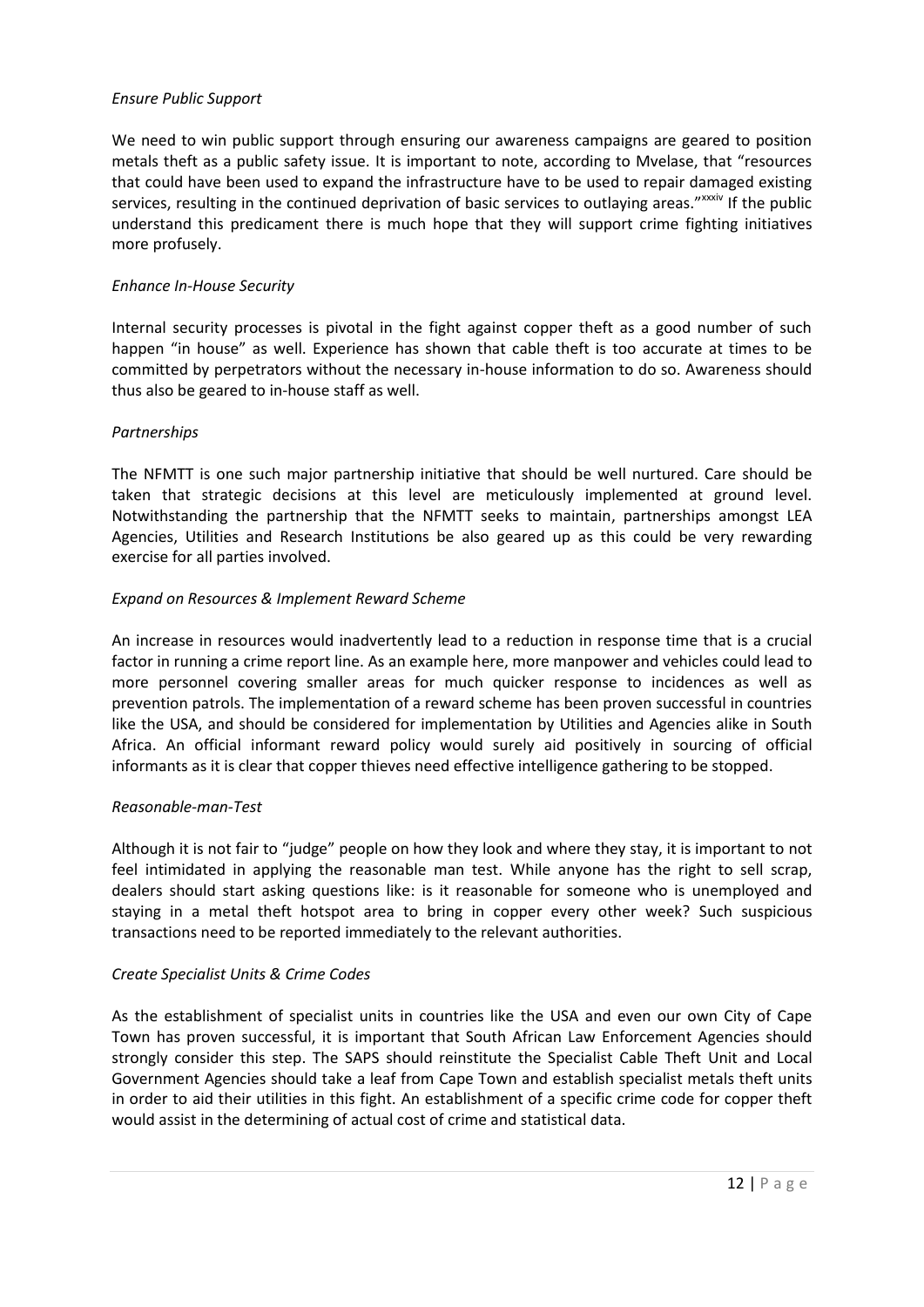## *Ensure Public Support*

We need to win public support through ensuring our awareness campaigns are geared to position metals theft as a public safety issue. It is important to note, according to Mvelase, that "resources that could have been used to expand the infrastructure have to be used to repair damaged existing services, resulting in the continued deprivation of basic services to outlaying areas." xxxiv If the public understand this predicament there is much hope that they will support crime fighting initiatives more profusely.

#### *Enhance In-House Security*

Internal security processes is pivotal in the fight against copper theft as a good number of such happen "in house" as well. Experience has shown that cable theft is too accurate at times to be committed by perpetrators without the necessary in-house information to do so. Awareness should thus also be geared to in-house staff as well.

## *Partnerships*

The NFMTT is one such major partnership initiative that should be well nurtured. Care should be taken that strategic decisions at this level are meticulously implemented at ground level. Notwithstanding the partnership that the NFMTT seeks to maintain, partnerships amongst LEA Agencies, Utilities and Research Institutions be also geared up as this could be very rewarding exercise for all parties involved.

## *Expand on Resources & Implement Reward Scheme*

An increase in resources would inadvertently lead to a reduction in response time that is a crucial factor in running a crime report line. As an example here, more manpower and vehicles could lead to more personnel covering smaller areas for much quicker response to incidences as well as prevention patrols. The implementation of a reward scheme has been proven successful in countries like the USA, and should be considered for implementation by Utilities and Agencies alike in South Africa. An official informant reward policy would surely aid positively in sourcing of official informants as it is clear that copper thieves need effective intelligence gathering to be stopped.

# *Reasonable-man-Test*

Although it is not fair to "judge" people on how they look and where they stay, it is important to not feel intimidated in applying the reasonable man test. While anyone has the right to sell scrap, dealers should start asking questions like: is it reasonable for someone who is unemployed and staying in a metal theft hotspot area to bring in copper every other week? Such suspicious transactions need to be reported immediately to the relevant authorities.

# *Create Specialist Units & Crime Codes*

As the establishment of specialist units in countries like the USA and even our own City of Cape Town has proven successful, it is important that South African Law Enforcement Agencies should strongly consider this step. The SAPS should reinstitute the Specialist Cable Theft Unit and Local Government Agencies should take a leaf from Cape Town and establish specialist metals theft units in order to aid their utilities in this fight. An establishment of a specific crime code for copper theft would assist in the determining of actual cost of crime and statistical data.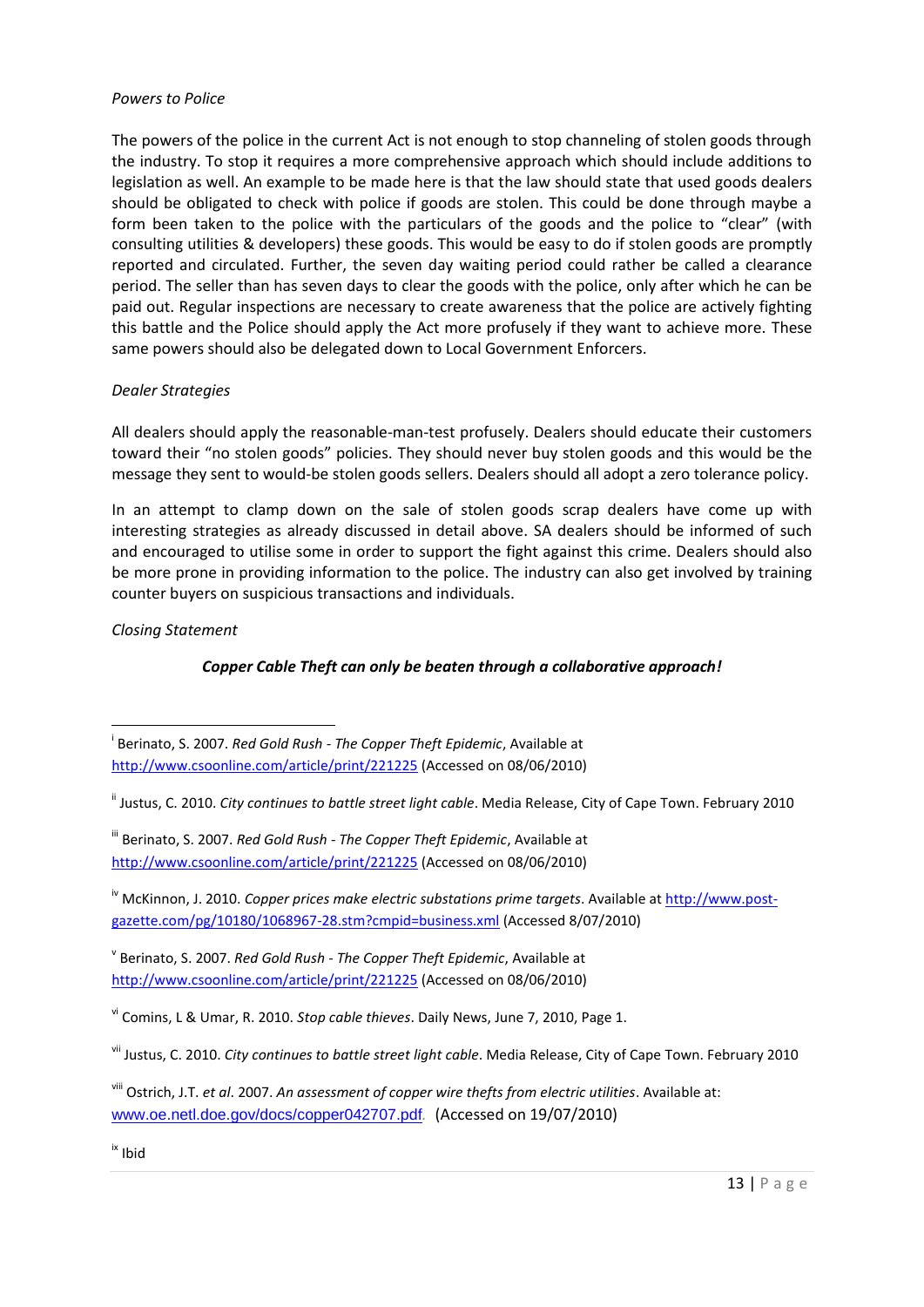#### *Powers to Police*

The powers of the police in the current Act is not enough to stop channeling of stolen goods through the industry. To stop it requires a more comprehensive approach which should include additions to legislation as well. An example to be made here is that the law should state that used goods dealers should be obligated to check with police if goods are stolen. This could be done through maybe a form been taken to the police with the particulars of the goods and the police to "clear" (with consulting utilities & developers) these goods. This would be easy to do if stolen goods are promptly reported and circulated. Further, the seven day waiting period could rather be called a clearance period. The seller than has seven days to clear the goods with the police, only after which he can be paid out. Regular inspections are necessary to create awareness that the police are actively fighting this battle and the Police should apply the Act more profusely if they want to achieve more. These same powers should also be delegated down to Local Government Enforcers.

# *Dealer Strategies*

All dealers should apply the reasonable-man-test profusely. Dealers should educate their customers toward their "no stolen goods" policies. They should never buy stolen goods and this would be the message they sent to would-be stolen goods sellers. Dealers should all adopt a zero tolerance policy.

In an attempt to clamp down on the sale of stolen goods scrap dealers have come up with interesting strategies as already discussed in detail above. SA dealers should be informed of such and encouraged to utilise some in order to support the fight against this crime. Dealers should also be more prone in providing information to the police. The industry can also get involved by training counter buyers on suspicious transactions and individuals.

*Closing Statement*

1

# *Copper Cable Theft can only be beaten through a collaborative approach!*

i Berinato, S. 2007. *Red Gold Rush - The Copper Theft Epidemic*, Available at <http://www.csoonline.com/article/print/221225> (Accessed on 08/06/2010)

ii Justus, C. 2010. *City continues to battle street light cable*. Media Release, City of Cape Town. February 2010

iii Berinato, S. 2007. *Red Gold Rush - The Copper Theft Epidemic*, Available at <http://www.csoonline.com/article/print/221225> (Accessed on 08/06/2010)

iv McKinnon, J. 2010. *Copper prices make electric substations prime targets*. Available at [http://www.post](http://www.post-gazette.com/pg/10180/1068967-28.stm?cmpid=business.xml)[gazette.com/pg/10180/1068967-28.stm?cmpid=business.xml](http://www.post-gazette.com/pg/10180/1068967-28.stm?cmpid=business.xml) (Accessed 8/07/2010)

v Berinato, S. 2007. *Red Gold Rush - The Copper Theft Epidemic*, Available at <http://www.csoonline.com/article/print/221225> (Accessed on 08/06/2010)

vi Comins, L & Umar, R. 2010. *Stop cable thieves*. Daily News, June 7, 2010, Page 1.

vii Justus, C. 2010. *City continues to battle street light cable*. Media Release, City of Cape Town. February 2010

viii Ostrich, J.T. *et al*. 2007. *An assessment of copper wire thefts from electric utilities*. Available at: [www.oe.netl.doe.gov/docs/copper042707.pdf](http://www.oe.netl.doe.gov/docs/copper042707.pdf)*.* (Accessed on 19/07/2010)

ix Ibid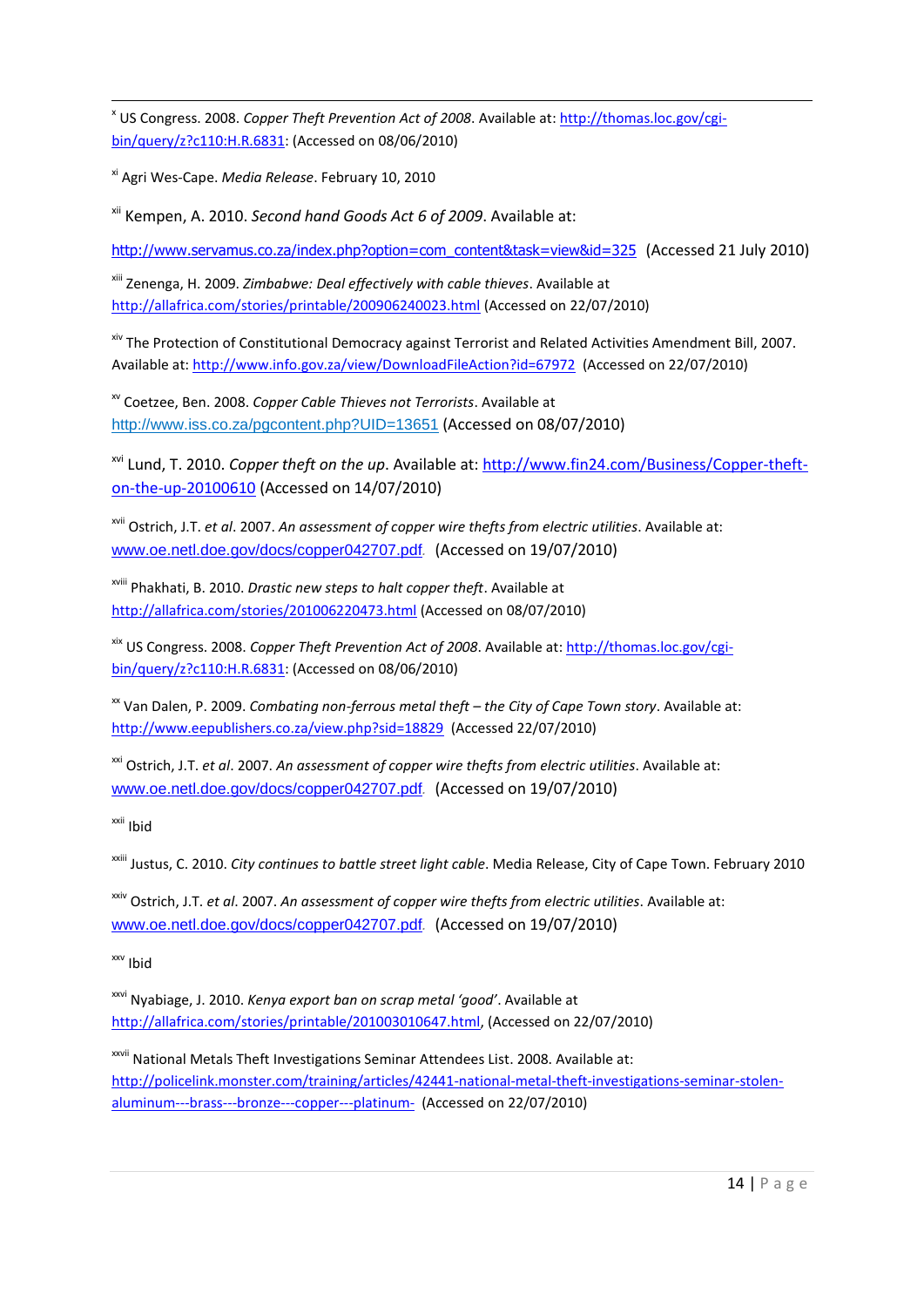**.** x US Congress. 2008. *Copper Theft Prevention Act of 2008*. Available at: [http://thomas.loc.gov/cgi](http://thomas.loc.gov/cgi-bin/query/z?c110:H.R.6831)[bin/query/z?c110:H.R.6831:](http://thomas.loc.gov/cgi-bin/query/z?c110:H.R.6831) (Accessed on 08/06/2010)

xi Agri Wes-Cape. *Media Release*. February 10, 2010

xii Kempen, A. 2010. *Second hand Goods Act 6 of 2009*. Available at:

[http://www.servamus.co.za/index.php?option=com\\_content&task=view&id=325](http://www.servamus.co.za/index.php?option=com_content&task=view&id=325) (Accessed 21 July 2010)

xiii Zenenga, H. 2009. *Zimbabwe: Deal effectively with cable thieves*. Available at <http://allafrica.com/stories/printable/200906240023.html> (Accessed on 22/07/2010)

xiv The Protection of Constitutional Democracy against Terrorist and Related Activities Amendment Bill, 2007. Available at:<http://www.info.gov.za/view/DownloadFileAction?id=67972> (Accessed on 22/07/2010)

xv Coetzee, Ben. 2008. *Copper Cable Thieves not Terrorists*. Available at <http://www.iss.co.za/pgcontent.php?UID=13651> (Accessed on 08/07/2010)

xvi Lund, T. 2010. *Copper theft on the up*. Available at: [http://www.fin24.com/Business/Copper-theft](http://www.fin24.com/Business/Copper-theft-on-the-up-20100610)[on-the-up-20100610](http://www.fin24.com/Business/Copper-theft-on-the-up-20100610) (Accessed on 14/07/2010)

xvii Ostrich, J.T. *et al*. 2007. *An assessment of copper wire thefts from electric utilities*. Available at: [www.oe.netl.doe.gov/docs/copper042707.pdf](http://www.oe.netl.doe.gov/docs/copper042707.pdf)*.* (Accessed on 19/07/2010)

xviii Phakhati, B. 2010. *Drastic new steps to halt copper theft*. Available at <http://allafrica.com/stories/201006220473.html> (Accessed on 08/07/2010)

xix US Congress. 2008. *Copper Theft Prevention Act of 2008*. Available at: [http://thomas.loc.gov/cgi](http://thomas.loc.gov/cgi-bin/query/z?c110:H.R.6831)[bin/query/z?c110:H.R.6831:](http://thomas.loc.gov/cgi-bin/query/z?c110:H.R.6831) (Accessed on 08/06/2010)

xx Van Dalen, P. 2009. *Combating non-ferrous metal theft – the City of Cape Town story*. Available at: <http://www.eepublishers.co.za/view.php?sid=18829> (Accessed 22/07/2010)

xxi Ostrich, J.T. *et al*. 2007. *An assessment of copper wire thefts from electric utilities*. Available at: [www.oe.netl.doe.gov/docs/copper042707.pdf](http://www.oe.netl.doe.gov/docs/copper042707.pdf)*.* (Accessed on 19/07/2010)

xxii Ibid

xxiii Justus, C. 2010. *City continues to battle street light cable*. Media Release, City of Cape Town. February 2010

xxiv Ostrich, J.T. *et al*. 2007. *An assessment of copper wire thefts from electric utilities*. Available at: [www.oe.netl.doe.gov/docs/copper042707.pdf](http://www.oe.netl.doe.gov/docs/copper042707.pdf)*.* (Accessed on 19/07/2010)

xxv Ibid

xxvi Nyabiage, J. 2010. *Kenya export ban on scrap metal 'good'*. Available at [http://allafrica.com/stories/printable/201003010647.html,](http://allafrica.com/stories/printable/201003010647.html) (Accessed on 22/07/2010)

xxvii National Metals Theft Investigations Seminar Attendees List. 2008. Available at: [http://policelink.monster.com/training/articles/42441-national-metal-theft-investigations-seminar-stolen](http://policelink.monster.com/training/articles/42441-national-metal-theft-investigations-seminar-stolen-aluminum---brass---bronze---copper---platinum-)[aluminum---brass---bronze---copper---platinum-](http://policelink.monster.com/training/articles/42441-national-metal-theft-investigations-seminar-stolen-aluminum---brass---bronze---copper---platinum-) (Accessed on 22/07/2010)